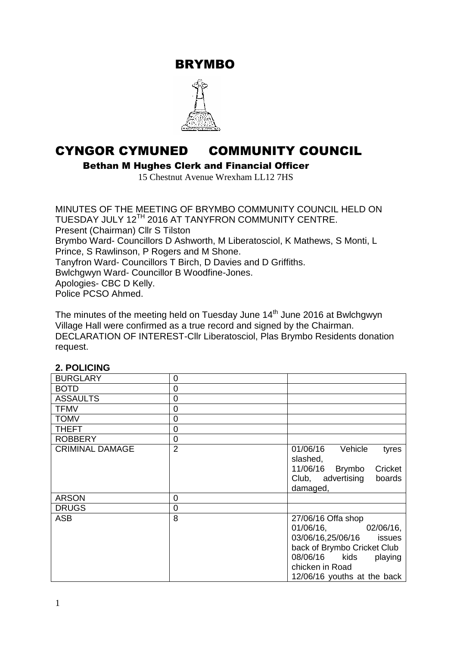BRYMBO



# CYNGOR CYMUNED COMMUNITY COUNCIL

Bethan M Hughes Clerk and Financial Officer

15 Chestnut Avenue Wrexham LL12 7HS

MINUTES OF THE MEETING OF BRYMBO COMMUNITY COUNCIL HELD ON TUESDAY JULY 12TH 2016 AT TANYFRON COMMUNITY CENTRE. Present (Chairman) Cllr S Tilston Brymbo Ward- Councillors D Ashworth, M Liberatosciol, K Mathews, S Monti, L Prince, S Rawlinson, P Rogers and M Shone. Tanyfron Ward- Councillors T Birch, D Davies and D Griffiths. Bwlchgwyn Ward- Councillor B Woodfine-Jones. Apologies- CBC D Kelly. Police PCSO Ahmed.

The minutes of the meeting held on Tuesday June 14<sup>th</sup> June 2016 at Bwlchgwyn Village Hall were confirmed as a true record and signed by the Chairman. DECLARATION OF INTEREST-Cllr Liberatosciol, Plas Brymbo Residents donation request.

# **2. POLICING**

| <b>BURGLARY</b>        | 0              |                                          |
|------------------------|----------------|------------------------------------------|
| <b>BOTD</b>            | 0              |                                          |
| <b>ASSAULTS</b>        | 0              |                                          |
| <b>TFMV</b>            | 0              |                                          |
| <b>TOMV</b>            | 0              |                                          |
| <b>THEFT</b>           | $\overline{0}$ |                                          |
| <b>ROBBERY</b>         | $\mathbf 0$    |                                          |
| <b>CRIMINAL DAMAGE</b> | $\overline{2}$ | 01/06/16<br>Vehicle<br>tyres<br>slashed, |
|                        |                | 11/06/16<br><b>Brymbo</b><br>Cricket     |
|                        |                | Club, advertising<br>boards              |
|                        |                | damaged,                                 |
| <b>ARSON</b>           | 0              |                                          |
| <b>DRUGS</b>           | 0              |                                          |
| <b>ASB</b>             | 8              | 27/06/16 Offa shop                       |
|                        |                | 01/06/16, 02/06/16,                      |
|                        |                | 03/06/16,25/06/16 issues                 |
|                        |                | back of Brymbo Cricket Club              |
|                        |                | 08/06/16 kids<br>playing                 |
|                        |                | chicken in Road                          |
|                        |                | 12/06/16 youths at the back              |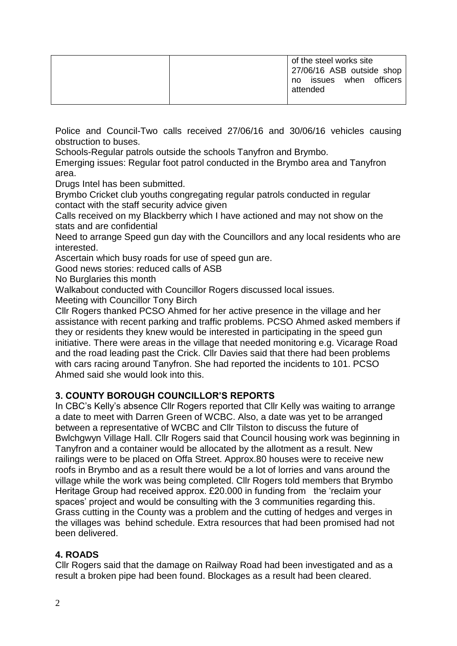|  | of the steel works site<br>27/06/16 ASB outside shop<br>when officers<br>issues<br>no<br>attended |
|--|---------------------------------------------------------------------------------------------------|
|  |                                                                                                   |

Police and Council-Two calls received 27/06/16 and 30/06/16 vehicles causing obstruction to buses.

Schools-Regular patrols outside the schools Tanyfron and Brymbo.

Emerging issues: Regular foot patrol conducted in the Brymbo area and Tanyfron area.

Drugs Intel has been submitted.

Brymbo Cricket club youths congregating regular patrols conducted in regular contact with the staff security advice given

Calls received on my Blackberry which I have actioned and may not show on the stats and are confidential

Need to arrange Speed gun day with the Councillors and any local residents who are interested.

Ascertain which busy roads for use of speed gun are.

Good news stories: reduced calls of ASB

No Burglaries this month

Walkabout conducted with Councillor Rogers discussed local issues.

Meeting with Councillor Tony Birch

Cllr Rogers thanked PCSO Ahmed for her active presence in the village and her assistance with recent parking and traffic problems. PCSO Ahmed asked members if they or residents they knew would be interested in participating in the speed gun initiative. There were areas in the village that needed monitoring e.g. Vicarage Road and the road leading past the Crick. Cllr Davies said that there had been problems with cars racing around Tanyfron. She had reported the incidents to 101. PCSO Ahmed said she would look into this.

# **3. COUNTY BOROUGH COUNCILLOR'S REPORTS**

In CBC's Kelly's absence Cllr Rogers reported that Cllr Kelly was waiting to arrange a date to meet with Darren Green of WCBC. Also, a date was yet to be arranged between a representative of WCBC and Cllr Tilston to discuss the future of Bwlchgwyn Village Hall. Cllr Rogers said that Council housing work was beginning in Tanyfron and a container would be allocated by the allotment as a result. New railings were to be placed on Offa Street. Approx.80 houses were to receive new roofs in Brymbo and as a result there would be a lot of lorries and vans around the village while the work was being completed. Cllr Rogers told members that Brymbo Heritage Group had received approx. £20.000 in funding from the 'reclaim your spaces' project and would be consulting with the 3 communities regarding this. Grass cutting in the County was a problem and the cutting of hedges and verges in the villages was behind schedule. Extra resources that had been promised had not been delivered.

# **4. ROADS**

Cllr Rogers said that the damage on Railway Road had been investigated and as a result a broken pipe had been found. Blockages as a result had been cleared.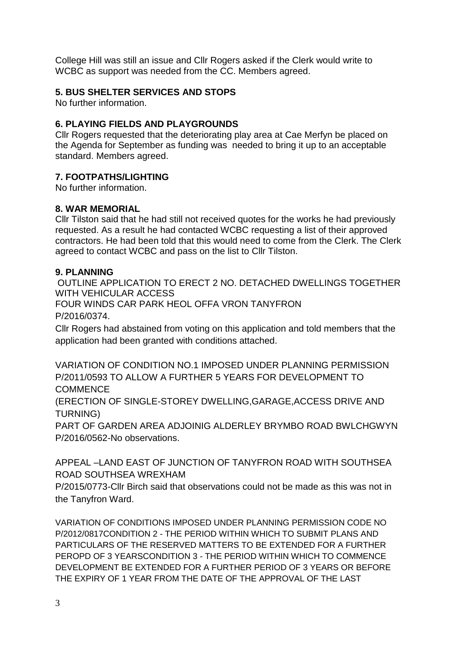College Hill was still an issue and Cllr Rogers asked if the Clerk would write to WCBC as support was needed from the CC. Members agreed.

# **5. BUS SHELTER SERVICES AND STOPS**

No further information.

# **6. PLAYING FIELDS AND PLAYGROUNDS**

Cllr Rogers requested that the deteriorating play area at Cae Merfyn be placed on the Agenda for September as funding was needed to bring it up to an acceptable standard. Members agreed.

# **7. FOOTPATHS/LIGHTING**

No further information.

# **8. WAR MEMORIAL**

Cllr Tilston said that he had still not received quotes for the works he had previously requested. As a result he had contacted WCBC requesting a list of their approved contractors. He had been told that this would need to come from the Clerk. The Clerk agreed to contact WCBC and pass on the list to Cllr Tilston.

#### **9. PLANNING**

OUTLINE APPLICATION TO ERECT 2 NO. DETACHED DWELLINGS TOGETHER WITH VEHICULAR ACCESS FOUR WINDS CAR PARK HEOL OFFA VRON TANYFRON P/2016/0374.

Cllr Rogers had abstained from voting on this application and told members that the application had been granted with conditions attached.

VARIATION OF CONDITION NO.1 IMPOSED UNDER PLANNING PERMISSION P/2011/0593 TO ALLOW A FURTHER 5 YEARS FOR DEVELOPMENT TO **COMMENCE** 

(ERECTION OF SINGLE-STOREY DWELLING,GARAGE,ACCESS DRIVE AND TURNING)

PART OF GARDEN AREA ADJOINIG ALDERLEY BRYMBO ROAD BWLCHGWYN P/2016/0562-No observations.

APPEAL –LAND EAST OF JUNCTION OF TANYFRON ROAD WITH SOUTHSEA ROAD SOUTHSEA WREXHAM

P/2015/0773-Cllr Birch said that observations could not be made as this was not in the Tanyfron Ward.

VARIATION OF CONDITIONS IMPOSED UNDER PLANNING PERMISSION CODE NO P/2012/0817CONDITION 2 - THE PERIOD WITHIN WHICH TO SUBMIT PLANS AND PARTICULARS OF THE RESERVED MATTERS TO BE EXTENDED FOR A FURTHER PEROPD OF 3 YEARSCONDITION 3 - THE PERIOD WITHIN WHICH TO COMMENCE DEVELOPMENT BE EXTENDED FOR A FURTHER PERIOD OF 3 YEARS OR BEFORE THE EXPIRY OF 1 YEAR FROM THE DATE OF THE APPROVAL OF THE LAST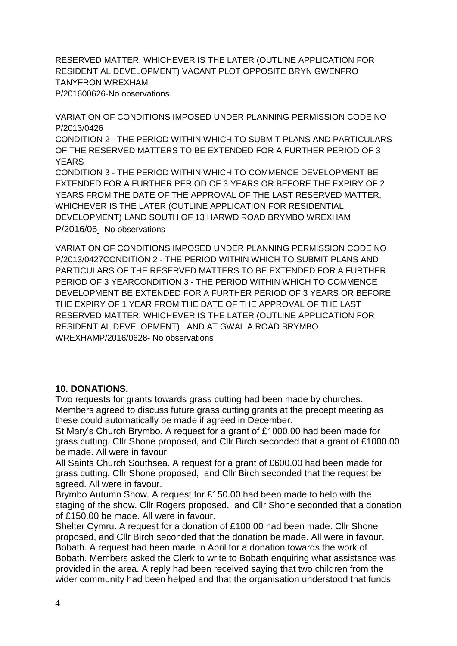RESERVED MATTER, WHICHEVER IS THE LATER (OUTLINE APPLICATION FOR RESIDENTIAL DEVELOPMENT) VACANT PLOT OPPOSITE BRYN GWENFRO TANYFRON WREXHAM P/201600626-No observations.

VARIATION OF CONDITIONS IMPOSED UNDER PLANNING PERMISSION CODE NO P/2013/0426

CONDITION 2 - THE PERIOD WITHIN WHICH TO SUBMIT PLANS AND PARTICULARS OF THE RESERVED MATTERS TO BE EXTENDED FOR A FURTHER PERIOD OF 3 YEARS

CONDITION 3 - THE PERIOD WITHIN WHICH TO COMMENCE DEVELOPMENT BE EXTENDED FOR A FURTHER PERIOD OF 3 YEARS OR BEFORE THE EXPIRY OF 2 YEARS FROM THE DATE OF THE APPROVAL OF THE LAST RESERVED MATTER, WHICHEVER IS THE LATER (OUTLINE APPLICATION FOR RESIDENTIAL DEVELOPMENT) LAND SOUTH OF 13 HARWD ROAD BRYMBO WREXHAM P/2016/06 –No observations

VARIATION OF CONDITIONS IMPOSED UNDER PLANNING PERMISSION CODE NO P/2013/0427CONDITION 2 - THE PERIOD WITHIN WHICH TO SUBMIT PLANS AND PARTICULARS OF THE RESERVED MATTERS TO BE EXTENDED FOR A FURTHER PERIOD OF 3 YEARCONDITION 3 - THE PERIOD WITHIN WHICH TO COMMENCE DEVELOPMENT BE EXTENDED FOR A FURTHER PERIOD OF 3 YEARS OR BEFORE THE EXPIRY OF 1 YEAR FROM THE DATE OF THE APPROVAL OF THE LAST RESERVED MATTER, WHICHEVER IS THE LATER (OUTLINE APPLICATION FOR RESIDENTIAL DEVELOPMENT) LAND AT GWALIA ROAD BRYMBO WREXHAMP/2016/0628- No observations

# **10. DONATIONS.**

Two requests for grants towards grass cutting had been made by churches. Members agreed to discuss future grass cutting grants at the precept meeting as these could automatically be made if agreed in December.

St Mary's Church Brymbo. A request for a grant of £1000.00 had been made for grass cutting. Cllr Shone proposed, and Cllr Birch seconded that a grant of £1000.00 be made. All were in favour.

All Saints Church Southsea. A request for a grant of £600.00 had been made for grass cutting. Cllr Shone proposed, and Cllr Birch seconded that the request be agreed. All were in favour.

Brymbo Autumn Show. A request for £150.00 had been made to help with the staging of the show. Cllr Rogers proposed, and Cllr Shone seconded that a donation of £150.00 be made. All were in favour.

Shelter Cymru. A request for a donation of £100.00 had been made. Cllr Shone proposed, and Cllr Birch seconded that the donation be made. All were in favour. Bobath. A request had been made in April for a donation towards the work of Bobath. Members asked the Clerk to write to Bobath enquiring what assistance was provided in the area. A reply had been received saying that two children from the wider community had been helped and that the organisation understood that funds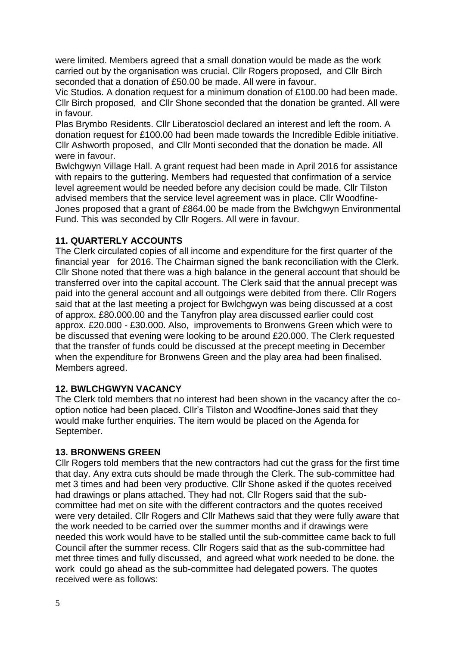were limited. Members agreed that a small donation would be made as the work carried out by the organisation was crucial. Cllr Rogers proposed, and Cllr Birch seconded that a donation of £50.00 be made. All were in favour.

Vic Studios. A donation request for a minimum donation of £100.00 had been made. Cllr Birch proposed, and Cllr Shone seconded that the donation be granted. All were in favour.

Plas Brymbo Residents. Cllr Liberatosciol declared an interest and left the room. A donation request for £100.00 had been made towards the Incredible Edible initiative. Cllr Ashworth proposed, and Cllr Monti seconded that the donation be made. All were in favour.

Bwlchgwyn Village Hall. A grant request had been made in April 2016 for assistance with repairs to the guttering. Members had requested that confirmation of a service level agreement would be needed before any decision could be made. Cllr Tilston advised members that the service level agreement was in place. Cllr Woodfine-Jones proposed that a grant of £864.00 be made from the Bwlchgwyn Environmental Fund. This was seconded by Cllr Rogers. All were in favour.

# **11. QUARTERLY ACCOUNTS**

The Clerk circulated copies of all income and expenditure for the first quarter of the financial year for 2016. The Chairman signed the bank reconciliation with the Clerk. Cllr Shone noted that there was a high balance in the general account that should be transferred over into the capital account. The Clerk said that the annual precept was paid into the general account and all outgoings were debited from there. Cllr Rogers said that at the last meeting a project for Bwlchgwyn was being discussed at a cost of approx. £80.000.00 and the Tanyfron play area discussed earlier could cost approx. £20.000 - £30.000. Also, improvements to Bronwens Green which were to be discussed that evening were looking to be around £20.000. The Clerk requested that the transfer of funds could be discussed at the precept meeting in December when the expenditure for Bronwens Green and the play area had been finalised. Members agreed.

# **12. BWLCHGWYN VACANCY**

The Clerk told members that no interest had been shown in the vacancy after the cooption notice had been placed. Cllr's Tilston and Woodfine-Jones said that they would make further enquiries. The item would be placed on the Agenda for September.

# **13. BRONWENS GREEN**

Cllr Rogers told members that the new contractors had cut the grass for the first time that day. Any extra cuts should be made through the Clerk. The sub-committee had met 3 times and had been very productive. Cllr Shone asked if the quotes received had drawings or plans attached. They had not. Cllr Rogers said that the subcommittee had met on site with the different contractors and the quotes received were very detailed. Cllr Rogers and Cllr Mathews said that they were fully aware that the work needed to be carried over the summer months and if drawings were needed this work would have to be stalled until the sub-committee came back to full Council after the summer recess. Cllr Rogers said that as the sub-committee had met three times and fully discussed, and agreed what work needed to be done. the work could go ahead as the sub-committee had delegated powers. The quotes received were as follows: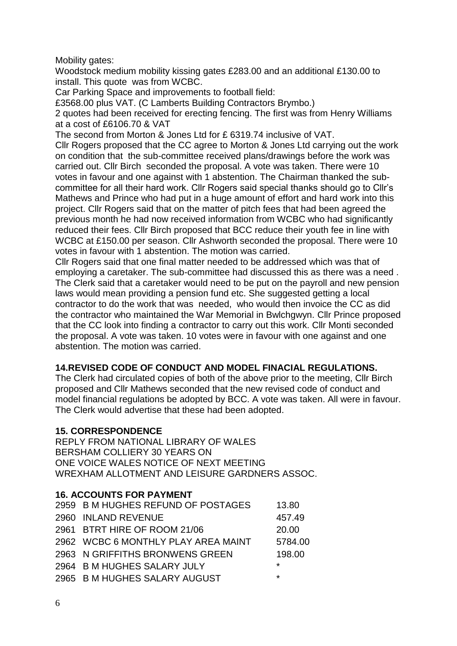Mobility gates:

Woodstock medium mobility kissing gates £283.00 and an additional £130.00 to install. This quote was from WCBC.

Car Parking Space and improvements to football field:

£3568.00 plus VAT. (C Lamberts Building Contractors Brymbo.)

2 quotes had been received for erecting fencing. The first was from Henry Williams at a cost of £6106.70 & VAT

The second from Morton & Jones Ltd for £ 6319.74 inclusive of VAT.

Cllr Rogers proposed that the CC agree to Morton & Jones Ltd carrying out the work on condition that the sub-committee received plans/drawings before the work was carried out. Cllr Birch seconded the proposal. A vote was taken. There were 10 votes in favour and one against with 1 abstention. The Chairman thanked the subcommittee for all their hard work. Cllr Rogers said special thanks should go to Cllr's Mathews and Prince who had put in a huge amount of effort and hard work into this project. Cllr Rogers said that on the matter of pitch fees that had been agreed the previous month he had now received information from WCBC who had significantly reduced their fees. Cllr Birch proposed that BCC reduce their youth fee in line with WCBC at £150.00 per season. Cllr Ashworth seconded the proposal. There were 10 votes in favour with 1 abstention. The motion was carried.

Cllr Rogers said that one final matter needed to be addressed which was that of employing a caretaker. The sub-committee had discussed this as there was a need . The Clerk said that a caretaker would need to be put on the payroll and new pension laws would mean providing a pension fund etc. She suggested getting a local contractor to do the work that was needed, who would then invoice the CC as did the contractor who maintained the War Memorial in Bwlchgwyn. Cllr Prince proposed that the CC look into finding a contractor to carry out this work. Cllr Monti seconded the proposal. A vote was taken. 10 votes were in favour with one against and one abstention. The motion was carried.

# **14.REVISED CODE OF CONDUCT AND MODEL FINACIAL REGULATIONS.**

The Clerk had circulated copies of both of the above prior to the meeting, Cllr Birch proposed and Cllr Mathews seconded that the new revised code of conduct and model financial regulations be adopted by BCC. A vote was taken. All were in favour. The Clerk would advertise that these had been adopted.

# **15. CORRESPONDENCE**

REPLY FROM NATIONAL LIBRARY OF WALES BERSHAM COLLIERY 30 YEARS ON ONE VOICE WALES NOTICE OF NEXT MEETING WREXHAM ALLOTMENT AND LEISURE GARDNERS ASSOC.

# **16. ACCOUNTS FOR PAYMENT**

| 2959 B M HUGHES REFUND OF POSTAGES  | 13.80   |
|-------------------------------------|---------|
| 2960 INLAND REVENUE                 | 457.49  |
| 2961 BTRT HIRE OF ROOM 21/06        | 20.00   |
| 2962 WCBC 6 MONTHLY PLAY AREA MAINT | 5784.00 |
| 2963 N GRIFFITHS BRONWENS GREEN     | 198.00  |
| 2964 B M HUGHES SALARY JULY         | $\star$ |
| 2965 B M HUGHES SALARY AUGUST       | $\star$ |